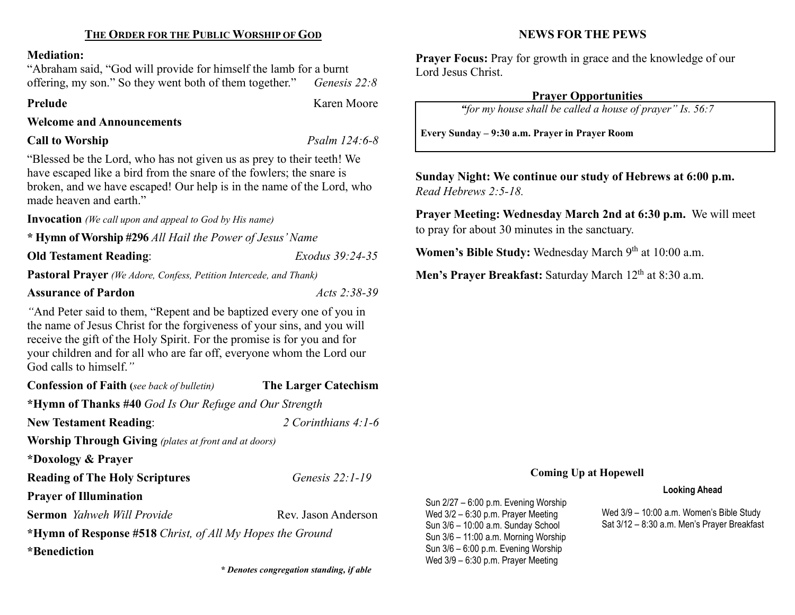# THE ORDER FOR THE PUBLIC WORSHIP OF GOD

#### Mediation:

"Abraham said, "God will provide for himself the lamb for a burnt offering, my son." So they went both of them together." Genesis  $22:8$ 

Prelude Karen Moore

### Welcome and Announcements

# Call to Worship Psalm 124:6-8

"Blessed be the Lord, who has not given us as prey to their teeth! We have escaped like a bird from the snare of the fowlers; the snare is broken, and we have escaped! Our help is in the name of the Lord, who made heaven and earth."

Invocation (We call upon and appeal to God by His name)

\* Hymn of Worship #296 All Hail the Power of Jesus' Name

Old Testament Reading: Exodus 39:24-35

Pastoral Prayer (We Adore, Confess, Petition Intercede, and Thank)

# Assurance of Pardon Acts 2:38-39

"And Peter said to them, "Repent and be baptized every one of you in the name of Jesus Christ for the forgiveness of your sins, and you will receive the gift of the Holy Spirit. For the promise is for you and for your children and for all who are far off, everyone whom the Lord our God calls to himself."

Confession of Faith (see back of bulletin) The Larger Catechism \*Hymn of Thanks #40 God Is Our Refuge and Our Strength New Testament Reading:  $2$  Corinthians 4:1-6 Worship Through Giving (plates at front and at doors) \*Doxology & Prayer Reading of The Holy Scriptures Genesis 22:1-19 Prayer of Illumination **Sermon** Yahweh Will Provide **Rev. Jason Anderson** \*Hymn of Response #518 Christ, of All My Hopes the Ground \*Benediction

\* Denotes congregation standing, if able

# NEWS FOR THE PEWS

Prayer Focus: Pray for growth in grace and the knowledge of our Lord Jesus Christ.

## Prayer Opportunities

"for my house shall be called a house of prayer" Is. 56:7

Every Sunday – 9:30 a.m. Prayer in Prayer Room

Sunday Night: We continue our study of Hebrews at 6:00 p.m. Read Hebrews 2:5-18.

Prayer Meeting: Wednesday March 2nd at 6:30 p.m. We will meet to pray for about 30 minutes in the sanctuary.

Women's Bible Study: Wednesday March 9<sup>th</sup> at 10:00 a.m.

Men's Prayer Breakfast: Saturday March 12<sup>th</sup> at 8:30 a.m.

#### Coming Up at Hopewell

#### Looking Ahead

Wed 3/9 – 10:00 a.m. Women's Bible Study Sat 3/12 – 8:30 a.m. Men's Prayer Breakfast

Sun 2/27 – 6:00 p.m. Evening Worship Wed 3/2 – 6:30 p.m. Prayer Meeting Sun 3/6 – 10:00 a.m. Sunday School Sun 3/6 – 11:00 a.m. Morning Worship Sun 3/6 – 6:00 p.m. Evening Worship Wed 3/9 – 6:30 p.m. Prayer Meeting